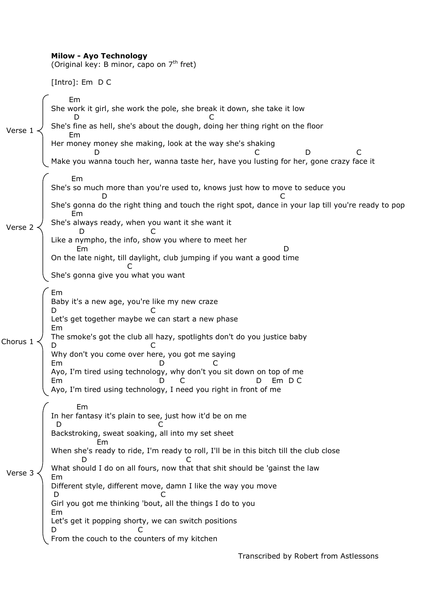Transcribed by Robert from Astlessons